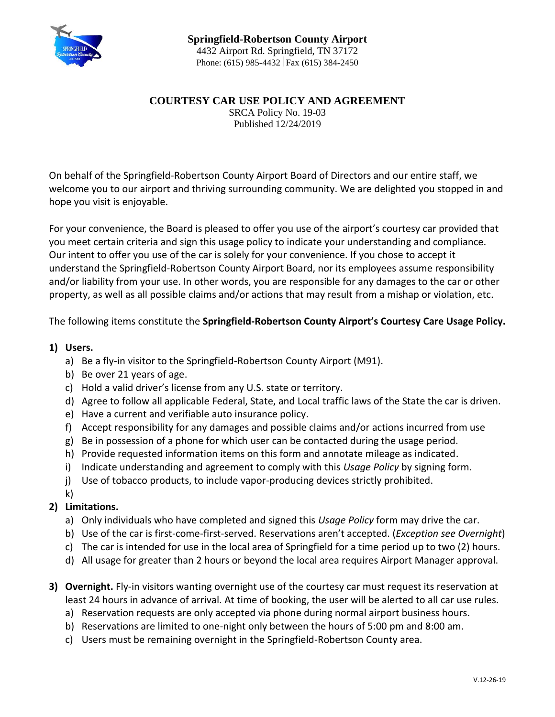

## **COURTESY CAR USE POLICY AND AGREEMENT**

SRCA Policy No. 19-03 Published 12/24/2019

On behalf of the Springfield-Robertson County Airport Board of Directors and our entire staff, we welcome you to our airport and thriving surrounding community. We are delighted you stopped in and hope you visit is enjoyable.

For your convenience, the Board is pleased to offer you use of the airport's courtesy car provided that you meet certain criteria and sign this usage policy to indicate your understanding and compliance. Our intent to offer you use of the car is solely for your convenience. If you chose to accept it understand the Springfield-Robertson County Airport Board, nor its employees assume responsibility and/or liability from your use. In other words, you are responsible for any damages to the car or other property, as well as all possible claims and/or actions that may result from a mishap or violation, etc.

The following items constitute the **Springfield-Robertson County Airport's Courtesy Care Usage Policy.**

## **1) Users.**

- a) Be a fly-in visitor to the Springfield-Robertson County Airport (M91).
- b) Be over 21 years of age.
- c) Hold a valid driver's license from any U.S. state or territory.
- d) Agree to follow all applicable Federal, State, and Local traffic laws of the State the car is driven.
- e) Have a current and verifiable auto insurance policy.
- f) Accept responsibility for any damages and possible claims and/or actions incurred from use
- g) Be in possession of a phone for which user can be contacted during the usage period.
- h) Provide requested information items on this form and annotate mileage as indicated.
- i) Indicate understanding and agreement to comply with this *Usage Policy* by signing form.
- j) Use of tobacco products, to include vapor-producing devices strictly prohibited.
- k)

## **2) Limitations.**

- a) Only individuals who have completed and signed this *Usage Policy* form may drive the car.
- b) Use of the car is first-come-first-served. Reservations aren't accepted. (*Exception see Overnight*)
- c) The car is intended for use in the local area of Springfield for a time period up to two (2) hours.
- d) All usage for greater than 2 hours or beyond the local area requires Airport Manager approval.
- **3) Overnight.** Fly-in visitors wanting overnight use of the courtesy car must request its reservation at least 24 hours in advance of arrival. At time of booking, the user will be alerted to all car use rules.
	- a) Reservation requests are only accepted via phone during normal airport business hours.
	- b) Reservations are limited to one-night only between the hours of 5:00 pm and 8:00 am.
	- c) Users must be remaining overnight in the Springfield-Robertson County area.